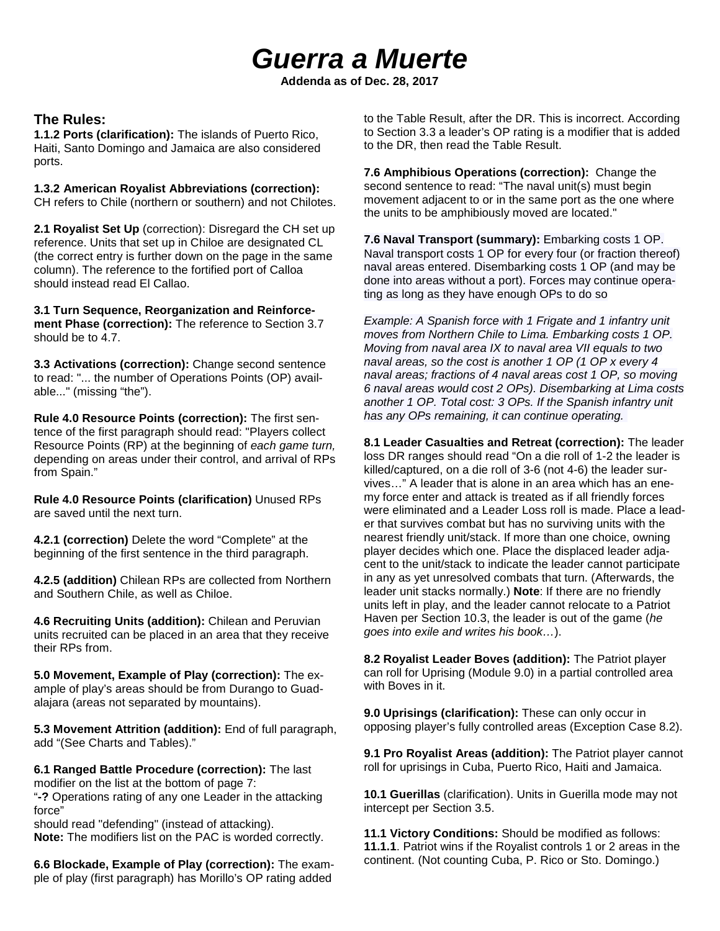# *Guerra a Muerte*

**Addenda as of Dec. 28, 2017**

#### **The Rules:**

**1.1.2 Ports (clarification):** The islands of Puerto Rico, Haiti, Santo Domingo and Jamaica are also considered ports.

**1.3.2 American Royalist Abbreviations (correction):**  CH refers to Chile (northern or southern) and not Chilotes.

**2.1 Royalist Set Up** (correction): Disregard the CH set up reference. Units that set up in Chiloe are designated CL (the correct entry is further down on the page in the same column). The reference to the fortified port of Calloa should instead read El Callao.

**3.1 Turn Sequence, Reorganization and Reinforcement Phase (correction):** The reference to Section 3.7 should be to 4.7.

**3.3 Activations (correction):** Change second sentence to read: "... the number of Operations Points (OP) available..." (missing "the").

**Rule 4.0 Resource Points (correction):** The first sentence of the first paragraph should read: "Players collect Resource Points (RP) at the beginning of *each game turn,* depending on areas under their control, and arrival of RPs from Spain."

**Rule 4.0 Resource Points (clarification)** Unused RPs are saved until the next turn.

**4.2.1 (correction)** Delete the word "Complete" at the beginning of the first sentence in the third paragraph.

**4.2.5 (addition)** Chilean RPs are collected from Northern and Southern Chile, as well as Chiloe.

**4.6 Recruiting Units (addition):** Chilean and Peruvian units recruited can be placed in an area that they receive their RPs from.

**5.0 Movement, Example of Play (correction):** The example of play's areas should be from Durango to Guadalajara (areas not separated by mountains).

**5.3 Movement Attrition (addition):** End of full paragraph, add "(See Charts and Tables)."

**6.1 Ranged Battle Procedure (correction):** The last modifier on the list at the bottom of page 7: "**-?** Operations rating of any one Leader in the attacking force"

should read "defending" (instead of attacking). **Note:** The modifiers list on the PAC is worded correctly.

**6.6 Blockade, Example of Play (correction):** The example of play (first paragraph) has Morillo's OP rating added to the Table Result, after the DR. This is incorrect. According to Section 3.3 a leader's OP rating is a modifier that is added to the DR, then read the Table Result.

**7.6 Amphibious Operations (correction):** Change the second sentence to read: "The naval unit(s) must begin movement adjacent to or in the same port as the one where the units to be amphibiously moved are located."

**7.6 Naval Transport (summary):** Embarking costs 1 OP. Naval transport costs 1 OP for every four (or fraction thereof) naval areas entered. Disembarking costs 1 OP (and may be done into areas without a port). Forces may continue operating as long as they have enough OPs to do so

*Example: A Spanish force with 1 Frigate and 1 infantry unit moves from Northern Chile to Lima. Embarking costs 1 OP. Moving from naval area IX to naval area VII equals to two naval areas, so the cost is another 1 OP (1 OP x every 4 naval areas; fractions of 4 naval areas cost 1 OP, so moving 6 naval areas would cost 2 OPs). Disembarking at Lima costs another 1 OP. Total cost: 3 OPs. If the Spanish infantry unit has any OPs remaining, it can continue operating.*

**8.1 Leader Casualties and Retreat (correction):** The leader loss DR ranges should read "On a die roll of 1-2 the leader is killed/captured, on a die roll of 3-6 (not 4-6) the leader survives…" A leader that is alone in an area which has an enemy force enter and attack is treated as if all friendly forces were eliminated and a Leader Loss roll is made. Place a leader that survives combat but has no surviving units with the nearest friendly unit/stack. If more than one choice, owning player decides which one. Place the displaced leader adjacent to the unit/stack to indicate the leader cannot participate in any as yet unresolved combats that turn. (Afterwards, the leader unit stacks normally.) **Note**: If there are no friendly units left in play, and the leader cannot relocate to a Patriot Haven per Section 10.3, the leader is out of the game (*he goes into exile and writes his book…*).

**8.2 Royalist Leader Boves (addition):** The Patriot player can roll for Uprising (Module 9.0) in a partial controlled area with Boves in it.

**9.0 Uprisings (clarification):** These can only occur in opposing player's fully controlled areas (Exception Case 8.2).

**9.1 Pro Royalist Areas (addition):** The Patriot player cannot roll for uprisings in Cuba, Puerto Rico, Haiti and Jamaica.

**10.1 Guerillas** (clarification). Units in Guerilla mode may not intercept per Section 3.5.

**11.1 Victory Conditions:** Should be modified as follows: **11.1.1**. Patriot wins if the Royalist controls 1 or 2 areas in the continent. (Not counting Cuba, P. Rico or Sto. Domingo.)